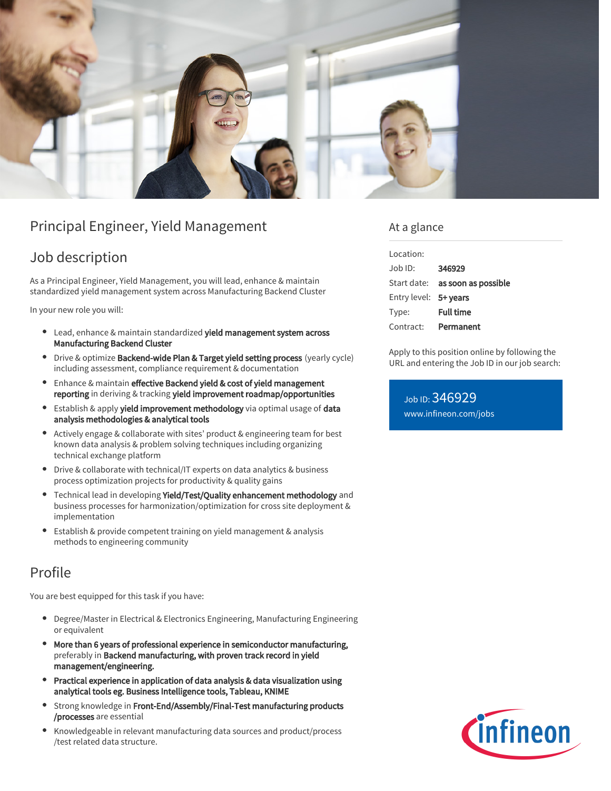

# Principal Engineer, Yield Management

### Job description

As a Principal Engineer, Yield Management, you will lead, enhance & maintain standardized yield management system across Manufacturing Backend Cluster

In your new role you will:

- Lead, enhance & maintain standardized yield management system across Manufacturing Backend Cluster
- $\bullet$ Drive & optimize Backend-wide Plan & Target yield setting process (yearly cycle) including assessment, compliance requirement & documentation
- Enhance & maintain effective Backend yield & cost of yield management reporting in deriving & tracking yield improvement roadmap/opportunities
- **Establish & apply yield improvement methodology** via optimal usage of data analysis methodologies & analytical tools
- $\bullet$ Actively engage & collaborate with sites' product & engineering team for best known data analysis & problem solving techniques including organizing technical exchange platform
- Drive & collaborate with technical/IT experts on data analytics & business process optimization projects for productivity & quality gains
- Technical lead in developing Yield/Test/Quality enhancement methodology and business processes for harmonization/optimization for cross site deployment & implementation
- Establish & provide competent training on yield management & analysis methods to engineering community

## Profile

You are best equipped for this task if you have:

- Degree/Master in Electrical & Electronics Engineering, Manufacturing Engineering or equivalent
- More than 6 years of professional experience in semiconductor manufacturing, preferably in Backend manufacturing, with proven track record in yield management/engineering.
- Practical experience in application of data analysis & data visualization using analytical tools eg. Business Intelligence tools, Tableau, KNIME
- Strong knowledge in Front-End/Assembly/Final-Test manufacturing products /processes are essential
- Knowledgeable in relevant manufacturing data sources and product/process /test related data structure.

### At a glance

| Location:             |                                 |
|-----------------------|---------------------------------|
| $.$ lob $1D$ :        | 346929                          |
|                       | Start date: as soon as possible |
| Entry level: 5+ years |                                 |
| Type:                 | <b>Full time</b>                |
| Contract:             | Permanent                       |

Apply to this position online by following the URL and entering the Job ID in our job search:

Job ID: 346929 [www.infineon.com/jobs](https://www.infineon.com/jobs)